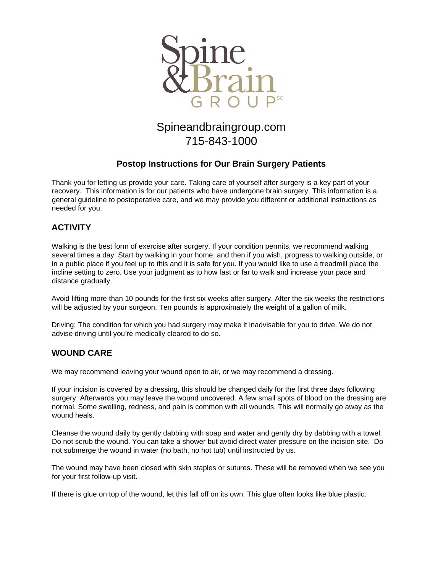

# Spineandbraingroup.com 715-843-1000

# **Postop Instructions for Our Brain Surgery Patients**

Thank you for letting us provide your care. Taking care of yourself after surgery is a key part of your recovery. This information is for our patients who have undergone brain surgery. This information is a general guideline to postoperative care, and we may provide you different or additional instructions as needed for you.

# **ACTIVITY**

Walking is the best form of exercise after surgery. If your condition permits, we recommend walking several times a day. Start by walking in your home, and then if you wish, progress to walking outside, or in a public place if you feel up to this and it is safe for you. If you would like to use a treadmill place the incline setting to zero. Use your judgment as to how fast or far to walk and increase your pace and distance gradually.

Avoid lifting more than 10 pounds for the first six weeks after surgery. After the six weeks the restrictions will be adjusted by your surgeon. Ten pounds is approximately the weight of a gallon of milk.

Driving: The condition for which you had surgery may make it inadvisable for you to drive. We do not advise driving until you're medically cleared to do so.

### **WOUND CARE**

We may recommend leaving your wound open to air, or we may recommend a dressing.

If your incision is covered by a dressing, this should be changed daily for the first three days following surgery. Afterwards you may leave the wound uncovered. A few small spots of blood on the dressing are normal. Some swelling, redness, and pain is common with all wounds. This will normally go away as the wound heals.

Cleanse the wound daily by gently dabbing with soap and water and gently dry by dabbing with a towel. Do not scrub the wound. You can take a shower but avoid direct water pressure on the incision site. Do not submerge the wound in water (no bath, no hot tub) until instructed by us.

The wound may have been closed with skin staples or sutures. These will be removed when we see you for your first follow-up visit.

If there is glue on top of the wound, let this fall off on its own. This glue often looks like blue plastic.